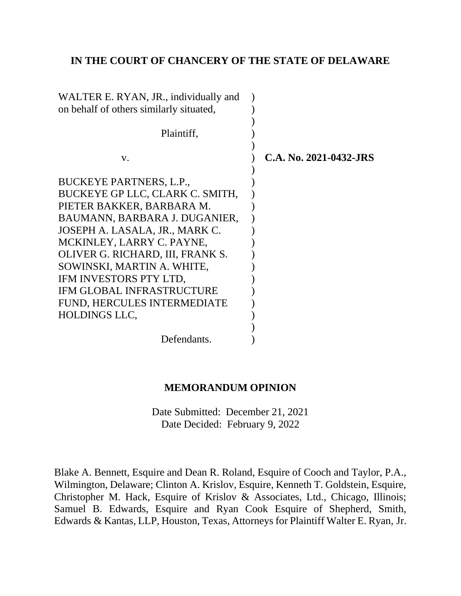## **IN THE COURT OF CHANCERY OF THE STATE OF DELAWARE**

| C.A. No. 2021-0432-JRS |
|------------------------|
|                        |
|                        |
|                        |
|                        |
|                        |
|                        |
|                        |
|                        |
|                        |
|                        |
|                        |
|                        |
|                        |
|                        |
|                        |

### **MEMORANDUM OPINION**

Date Submitted: December 21, 2021 Date Decided: February 9, 2022

Blake A. Bennett, Esquire and Dean R. Roland, Esquire of Cooch and Taylor, P.A., Wilmington, Delaware; Clinton A. Krislov, Esquire, Kenneth T. Goldstein, Esquire, Christopher M. Hack, Esquire of Krislov & Associates, Ltd., Chicago, Illinois; Samuel B. Edwards, Esquire and Ryan Cook Esquire of Shepherd, Smith, Edwards & Kantas, LLP, Houston, Texas, Attorneys for Plaintiff Walter E. Ryan, Jr.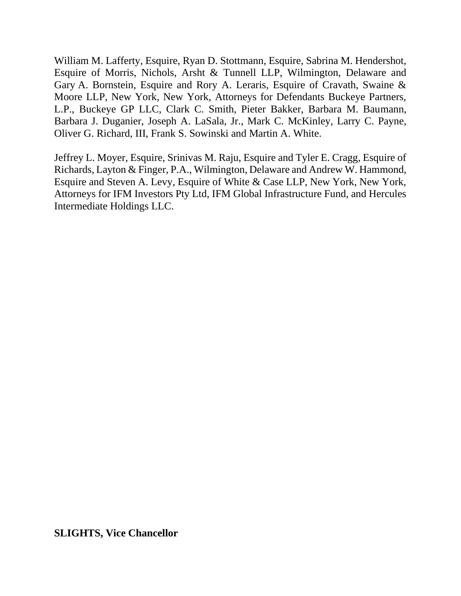William M. Lafferty, Esquire, Ryan D. Stottmann, Esquire, Sabrina M. Hendershot, Esquire of Morris, Nichols, Arsht & Tunnell LLP, Wilmington, Delaware and Gary A. Bornstein, Esquire and Rory A. Leraris, Esquire of Cravath, Swaine & Moore LLP, New York, New York, Attorneys for Defendants Buckeye Partners, L.P., Buckeye GP LLC, Clark C. Smith, Pieter Bakker, Barbara M. Baumann, Barbara J. Duganier, Joseph A. LaSala, Jr., Mark C. McKinley, Larry C. Payne, Oliver G. Richard, III, Frank S. Sowinski and Martin A. White.

Jeffrey L. Moyer, Esquire, Srinivas M. Raju, Esquire and Tyler E. Cragg, Esquire of Richards, Layton & Finger, P.A., Wilmington, Delaware and Andrew W. Hammond, Esquire and Steven A. Levy, Esquire of White & Case LLP, New York, New York, Attorneys for IFM Investors Pty Ltd, IFM Global Infrastructure Fund, and Hercules Intermediate Holdings LLC.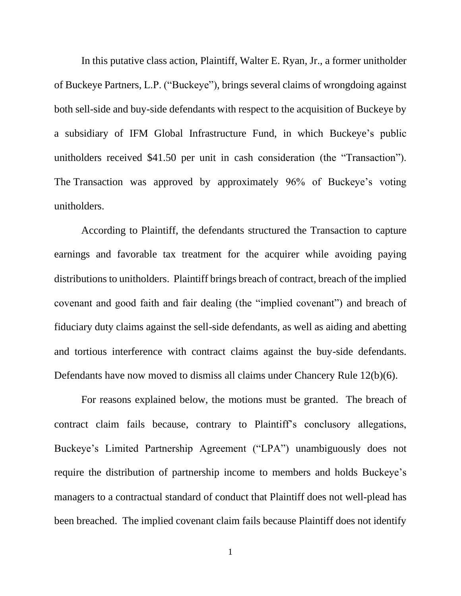In this putative class action, Plaintiff, Walter E. Ryan, Jr., a former unitholder of Buckeye Partners, L.P. ("Buckeye"), brings several claims of wrongdoing against both sell-side and buy-side defendants with respect to the acquisition of Buckeye by a subsidiary of IFM Global Infrastructure Fund, in which Buckeye's public unitholders received \$41.50 per unit in cash consideration (the "Transaction"). The Transaction was approved by approximately 96% of Buckeye's voting unitholders.

According to Plaintiff, the defendants structured the Transaction to capture earnings and favorable tax treatment for the acquirer while avoiding paying distributions to unitholders. Plaintiff brings breach of contract, breach of the implied covenant and good faith and fair dealing (the "implied covenant") and breach of fiduciary duty claims against the sell-side defendants, as well as aiding and abetting and tortious interference with contract claims against the buy-side defendants. Defendants have now moved to dismiss all claims under Chancery Rule 12(b)(6).

For reasons explained below, the motions must be granted. The breach of contract claim fails because, contrary to Plaintiff's conclusory allegations, Buckeye's Limited Partnership Agreement ("LPA") unambiguously does not require the distribution of partnership income to members and holds Buckeye's managers to a contractual standard of conduct that Plaintiff does not well-plead has been breached. The implied covenant claim fails because Plaintiff does not identify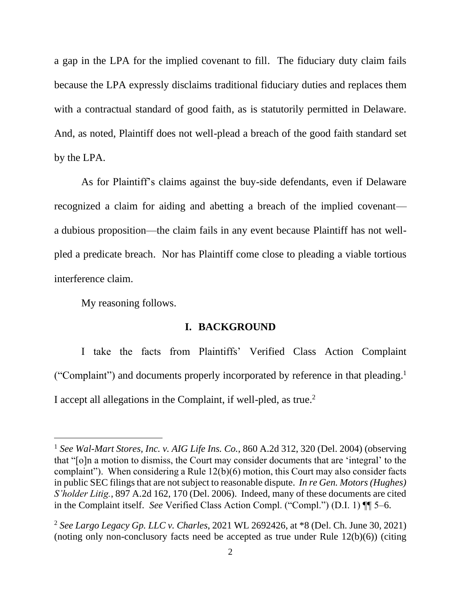a gap in the LPA for the implied covenant to fill. The fiduciary duty claim fails because the LPA expressly disclaims traditional fiduciary duties and replaces them with a contractual standard of good faith, as is statutorily permitted in Delaware. And, as noted, Plaintiff does not well-plead a breach of the good faith standard set by the LPA.

As for Plaintiff's claims against the buy-side defendants, even if Delaware recognized a claim for aiding and abetting a breach of the implied covenant a dubious proposition—the claim fails in any event because Plaintiff has not wellpled a predicate breach. Nor has Plaintiff come close to pleading a viable tortious interference claim.

My reasoning follows.

### **I. BACKGROUND**

I take the facts from Plaintiffs' Verified Class Action Complaint ("Complaint") and documents properly incorporated by reference in that pleading. 1 I accept all allegations in the Complaint, if well-pled, as true.<sup>2</sup>

<sup>1</sup> *See Wal-Mart Stores, Inc. v. AIG Life Ins. Co.*, 860 A.2d 312, 320 (Del. 2004) (observing that "[o]n a motion to dismiss, the Court may consider documents that are 'integral' to the complaint"). When considering a Rule 12(b)(6) motion, this Court may also consider facts in public SEC filings that are not subject to reasonable dispute. *In re Gen. Motors (Hughes) S'holder Litig.*, 897 A.2d 162, 170 (Del. 2006). Indeed, many of these documents are cited in the Complaint itself. *See* Verified Class Action Compl. ("Compl.") (D.I. 1) ¶¶ 5–6.

<sup>2</sup> *See Largo Legacy Gp. LLC v. Charles*, 2021 WL 2692426, at \*8 (Del. Ch. June 30, 2021) (noting only non-conclusory facts need be accepted as true under Rule 12(b)(6)) (citing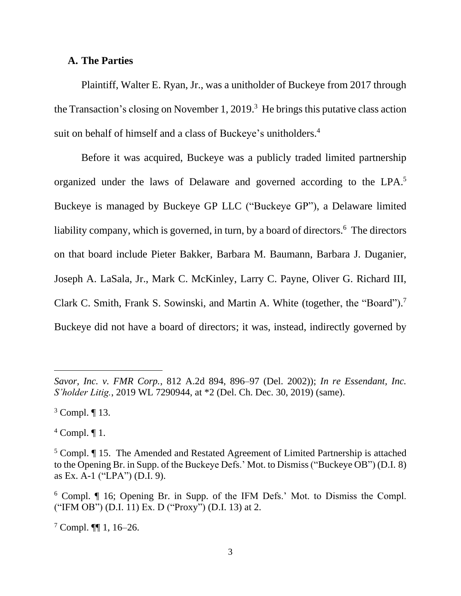### **A. The Parties**

Plaintiff, Walter E. Ryan, Jr., was a unitholder of Buckeye from 2017 through the Transaction's closing on November 1, 2019. 3 He brings this putative class action suit on behalf of himself and a class of Buckeye's unitholders.<sup>4</sup>

Before it was acquired, Buckeye was a publicly traded limited partnership organized under the laws of Delaware and governed according to the LPA.<sup>5</sup> Buckeye is managed by Buckeye GP LLC ("Buckeye GP"), a Delaware limited liability company, which is governed, in turn, by a board of directors.<sup>6</sup> The directors on that board include Pieter Bakker, Barbara M. Baumann, Barbara J. Duganier, Joseph A. LaSala, Jr., Mark C. McKinley, Larry C. Payne, Oliver G. Richard III, Clark C. Smith, Frank S. Sowinski, and Martin A. White (together, the "Board").<sup>7</sup> Buckeye did not have a board of directors; it was, instead, indirectly governed by

 $4$  Compl.  $\P$ 1.

*Savor, Inc. v. FMR Corp.*, 812 A.2d 894, 896–97 (Del. 2002)); *In re Essendant, Inc. S'holder Litig.*, 2019 WL 7290944, at \*2 (Del. Ch. Dec. 30, 2019) (same).

<sup>3</sup> Compl. ¶ 13.

<sup>5</sup> Compl. ¶ 15. The Amended and Restated Agreement of Limited Partnership is attached to the Opening Br. in Supp. of the Buckeye Defs.' Mot. to Dismiss ("Buckeye OB") (D.I. 8) as Ex. A-1 ("LPA") (D.I. 9).

<sup>6</sup> Compl. ¶ 16; Opening Br. in Supp. of the IFM Defs.' Mot. to Dismiss the Compl. ("IFM OB") (D.I. 11) Ex. D ("Proxy") (D.I. 13) at 2.

 $7$  Compl.  $\P\P$  1, 16–26.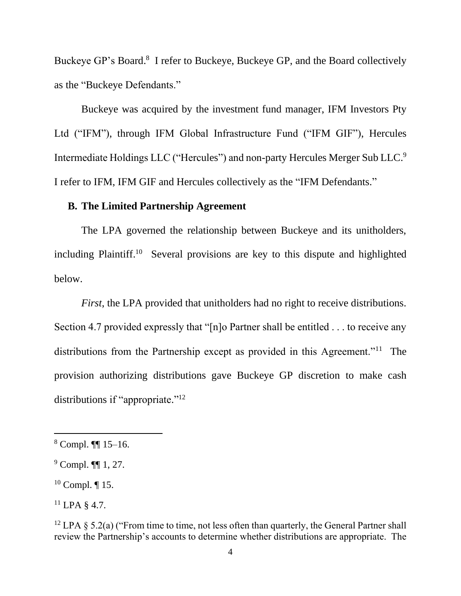Buckeye GP's Board.<sup>8</sup> I refer to Buckeye, Buckeye GP, and the Board collectively as the "Buckeye Defendants."

Buckeye was acquired by the investment fund manager, IFM Investors Pty Ltd ("IFM"), through IFM Global Infrastructure Fund ("IFM GIF"), Hercules Intermediate Holdings LLC ("Hercules") and non-party Hercules Merger Sub LLC.<sup>9</sup> I refer to IFM, IFM GIF and Hercules collectively as the "IFM Defendants."

## **B. The Limited Partnership Agreement**

The LPA governed the relationship between Buckeye and its unitholders, including Plaintiff.<sup>10</sup> Several provisions are key to this dispute and highlighted below.

*First*, the LPA provided that unitholders had no right to receive distributions. Section 4.7 provided expressly that "[n]o Partner shall be entitled . . . to receive any distributions from the Partnership except as provided in this Agreement."<sup>11</sup> The provision authorizing distributions gave Buckeye GP discretion to make cash distributions if "appropriate."<sup>12</sup>

 $8$  Compl. **[1]** 15–16.

<sup>9</sup> Compl. ¶¶ 1, 27.

 $10$  Compl. ¶ 15.

 $^{11}$  LPA § 4.7.

<sup>&</sup>lt;sup>12</sup> LPA § 5.2(a) ("From time to time, not less often than quarterly, the General Partner shall review the Partnership's accounts to determine whether distributions are appropriate. The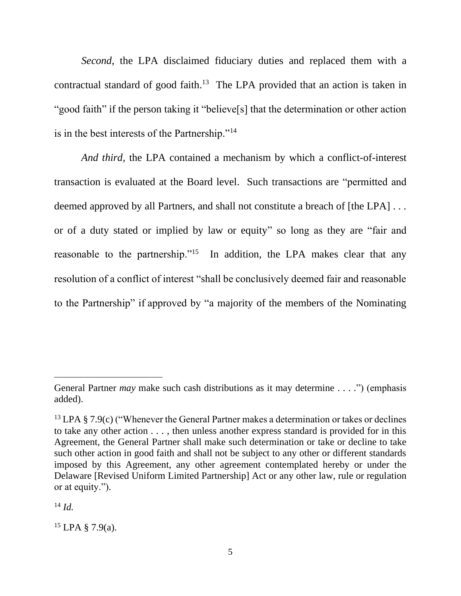*Second*, the LPA disclaimed fiduciary duties and replaced them with a contractual standard of good faith.<sup>13</sup> The LPA provided that an action is taken in "good faith" if the person taking it "believe[s] that the determination or other action is in the best interests of the Partnership."<sup>14</sup>

*And third*, the LPA contained a mechanism by which a conflict-of-interest transaction is evaluated at the Board level. Such transactions are "permitted and deemed approved by all Partners, and shall not constitute a breach of [the LPA] . . . or of a duty stated or implied by law or equity" so long as they are "fair and reasonable to the partnership."<sup>15</sup> In addition, the LPA makes clear that any resolution of a conflict of interest "shall be conclusively deemed fair and reasonable to the Partnership" if approved by "a majority of the members of the Nominating

<sup>14</sup> *Id.*

General Partner *may* make such cash distributions as it may determine . . . .") (emphasis added).

<sup>&</sup>lt;sup>13</sup> LPA § 7.9(c) ("Whenever the General Partner makes a determination or takes or declines to take any other action . . . , then unless another express standard is provided for in this Agreement, the General Partner shall make such determination or take or decline to take such other action in good faith and shall not be subject to any other or different standards imposed by this Agreement, any other agreement contemplated hereby or under the Delaware [Revised Uniform Limited Partnership] Act or any other law, rule or regulation or at equity.").

 $15$  LPA § 7.9(a).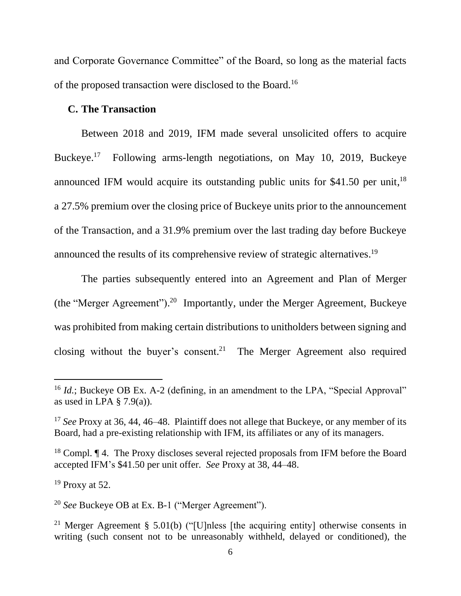and Corporate Governance Committee" of the Board, so long as the material facts of the proposed transaction were disclosed to the Board.<sup>16</sup>

### **C. The Transaction**

Between 2018 and 2019, IFM made several unsolicited offers to acquire Buckeye. <sup>17</sup> Following arms-length negotiations, on May 10, 2019, Buckeye announced IFM would acquire its outstanding public units for \$41.50 per unit,<sup>18</sup> a 27.5% premium over the closing price of Buckeye units prior to the announcement of the Transaction, and a 31.9% premium over the last trading day before Buckeye announced the results of its comprehensive review of strategic alternatives.<sup>19</sup>

The parties subsequently entered into an Agreement and Plan of Merger (the "Merger Agreement").<sup>20</sup> Importantly, under the Merger Agreement, Buckeye was prohibited from making certain distributions to unitholders between signing and closing without the buyer's consent.<sup>21</sup> The Merger Agreement also required

<sup>&</sup>lt;sup>16</sup> *Id.*; Buckeye OB Ex. A-2 (defining, in an amendment to the LPA, "Special Approval" as used in LPA  $\S$  7.9(a)).

<sup>&</sup>lt;sup>17</sup> *See* Proxy at 36, 44, 46–48. Plaintiff does not allege that Buckeye, or any member of its Board, had a pre-existing relationship with IFM, its affiliates or any of its managers.

<sup>&</sup>lt;sup>18</sup> Compl. ¶ 4. The Proxy discloses several rejected proposals from IFM before the Board accepted IFM's \$41.50 per unit offer. *See* Proxy at 38, 44–48.

 $19$  Proxy at 52.

<sup>20</sup> *See* Buckeye OB at Ex. B-1 ("Merger Agreement").

<sup>&</sup>lt;sup>21</sup> Merger Agreement § 5.01(b) ("[U]nless [the acquiring entity] otherwise consents in writing (such consent not to be unreasonably withheld, delayed or conditioned), the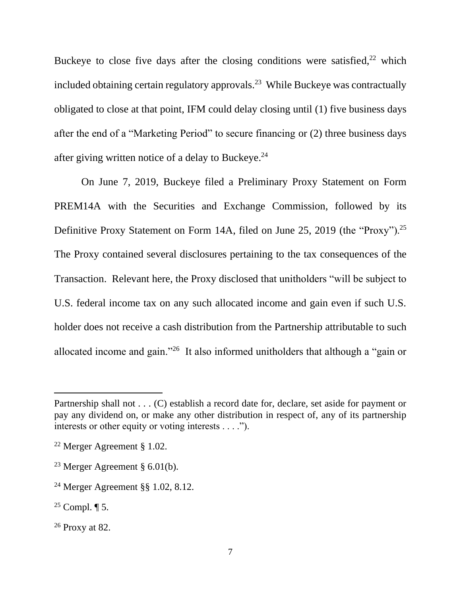Buckeye to close five days after the closing conditions were satisfied, $2^2$  which included obtaining certain regulatory approvals.<sup>23</sup> While Buckeye was contractually obligated to close at that point, IFM could delay closing until (1) five business days after the end of a "Marketing Period" to secure financing or (2) three business days after giving written notice of a delay to Buckeye.<sup>24</sup>

On June 7, 2019, Buckeye filed a Preliminary Proxy Statement on Form PREM14A with the Securities and Exchange Commission, followed by its Definitive Proxy Statement on Form 14A, filed on June 25, 2019 (the "Proxy").<sup>25</sup> The Proxy contained several disclosures pertaining to the tax consequences of the Transaction. Relevant here, the Proxy disclosed that unitholders "will be subject to U.S. federal income tax on any such allocated income and gain even if such U.S. holder does not receive a cash distribution from the Partnership attributable to such allocated income and gain."<sup>26</sup> It also informed unitholders that although a "gain or

Partnership shall not . . . (C) establish a record date for, declare, set aside for payment or pay any dividend on, or make any other distribution in respect of, any of its partnership interests or other equity or voting interests . . . .").

<sup>22</sup> Merger Agreement § 1.02.

<sup>&</sup>lt;sup>23</sup> Merger Agreement §  $6.01(b)$ .

<sup>24</sup> Merger Agreement §§ 1.02, 8.12.

<sup>&</sup>lt;sup>25</sup> Compl.  $\P$  5.

<sup>26</sup> Proxy at 82.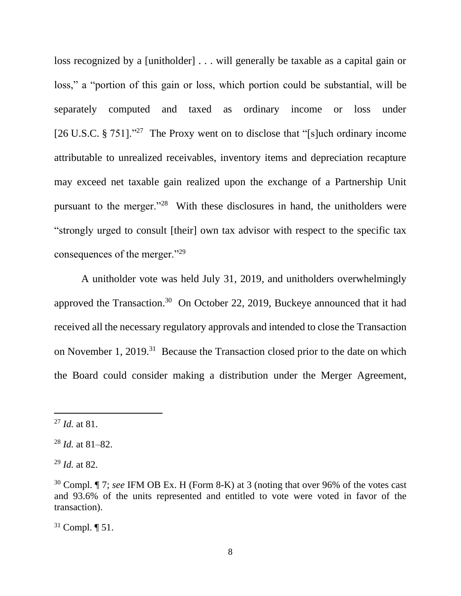loss recognized by a [unitholder] . . . will generally be taxable as a capital gain or loss," a "portion of this gain or loss, which portion could be substantial, will be separately computed and taxed as ordinary income or loss under [26 U.S.C. § 751]."<sup>27</sup> The Proxy went on to disclose that "[s]uch ordinary income attributable to unrealized receivables, inventory items and depreciation recapture may exceed net taxable gain realized upon the exchange of a Partnership Unit pursuant to the merger."<sup>28</sup> With these disclosures in hand, the unitholders were "strongly urged to consult [their] own tax advisor with respect to the specific tax consequences of the merger."<sup>29</sup>

A unitholder vote was held July 31, 2019, and unitholders overwhelmingly approved the Transaction.<sup>30</sup> On October 22, 2019, Buckeye announced that it had received all the necessary regulatory approvals and intended to close the Transaction on November 1, 2019.<sup>31</sup> Because the Transaction closed prior to the date on which the Board could consider making a distribution under the Merger Agreement,

<sup>27</sup> *Id.* at 81.

<sup>28</sup> *Id.* at 81–82.

<sup>29</sup> *Id.* at 82.

<sup>30</sup> Compl. ¶ 7; *see* IFM OB Ex. H (Form 8-K) at 3 (noting that over 96% of the votes cast and 93.6% of the units represented and entitled to vote were voted in favor of the transaction).

 $31$  Compl.  $\P$  51.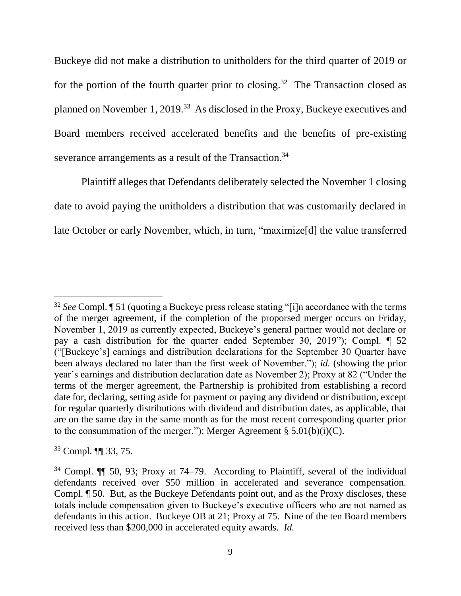Buckeye did not make a distribution to unitholders for the third quarter of 2019 or for the portion of the fourth quarter prior to closing.<sup>32</sup> The Transaction closed as planned on November 1, 2019.<sup>33</sup> As disclosed in the Proxy, Buckeye executives and Board members received accelerated benefits and the benefits of pre-existing severance arrangements as a result of the Transaction.<sup>34</sup>

Plaintiff alleges that Defendants deliberately selected the November 1 closing date to avoid paying the unitholders a distribution that was customarily declared in late October or early November, which, in turn, "maximize[d] the value transferred

<sup>33</sup> Compl. ¶¶ 33, 75.

<sup>32</sup> *See* Compl. ¶ 51 (quoting a Buckeye press release stating "[i]n accordance with the terms of the merger agreement, if the completion of the proporsed merger occurs on Friday, November 1, 2019 as currently expected, Buckeye's general partner would not declare or pay a cash distribution for the quarter ended September 30, 2019"); Compl. ¶ 52 ("[Buckeye's] earnings and distribution declarations for the September 30 Quarter have been always declared no later than the first week of November."); *id.* (showing the prior year's earnings and distribution declaration date as November 2); Proxy at 82 ("Under the terms of the merger agreement, the Partnership is prohibited from establishing a record date for, declaring, setting aside for payment or paying any dividend or distribution, except for regular quarterly distributions with dividend and distribution dates, as applicable, that are on the same day in the same month as for the most recent corresponding quarter prior to the consummation of the merger."); Merger Agreement  $\S 5.01(b)(i)(C)$ .

 $34$  Compl.  $\P$  50, 93; Proxy at 74–79. According to Plaintiff, several of the individual defendants received over \$50 million in accelerated and severance compensation. Compl. ¶ 50. But, as the Buckeye Defendants point out, and as the Proxy discloses, these totals include compensation given to Buckeye's executive officers who are not named as defendants in this action. Buckeye OB at 21; Proxy at 75. Nine of the ten Board members received less than \$200,000 in accelerated equity awards. *Id.*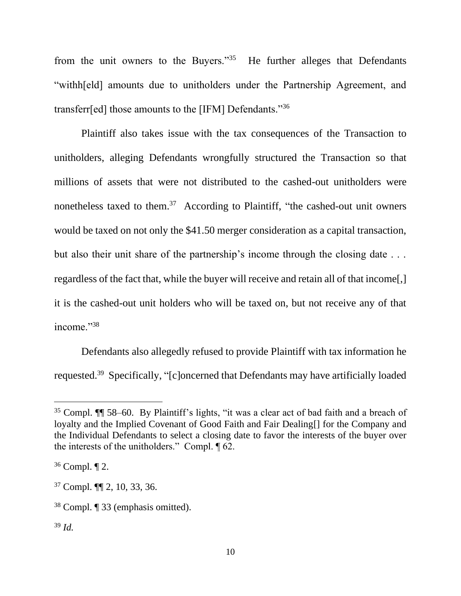from the unit owners to the Buyers." $35$  He further alleges that Defendants "withh[eld] amounts due to unitholders under the Partnership Agreement, and transferr[ed] those amounts to the [IFM] Defendants."<sup>36</sup>

Plaintiff also takes issue with the tax consequences of the Transaction to unitholders, alleging Defendants wrongfully structured the Transaction so that millions of assets that were not distributed to the cashed-out unitholders were nonetheless taxed to them.<sup>37</sup> According to Plaintiff, "the cashed-out unit owners would be taxed on not only the \$41.50 merger consideration as a capital transaction, but also their unit share of the partnership's income through the closing date . . . regardless of the fact that, while the buyer will receive and retain all of that income[,] it is the cashed-out unit holders who will be taxed on, but not receive any of that income."38

Defendants also allegedly refused to provide Plaintiff with tax information he requested.<sup>39</sup> Specifically, "[c]oncerned that Defendants may have artificially loaded

<sup>35</sup> Compl. ¶¶ 58–60. By Plaintiff's lights, "it was a clear act of bad faith and a breach of loyalty and the Implied Covenant of Good Faith and Fair Dealing[] for the Company and the Individual Defendants to select a closing date to favor the interests of the buyer over the interests of the unitholders." Compl. ¶ 62.

<sup>36</sup> Compl. ¶ 2.

<sup>37</sup> Compl. ¶¶ 2, 10, 33, 36.

<sup>38</sup> Compl. ¶ 33 (emphasis omitted).

<sup>39</sup> *Id.*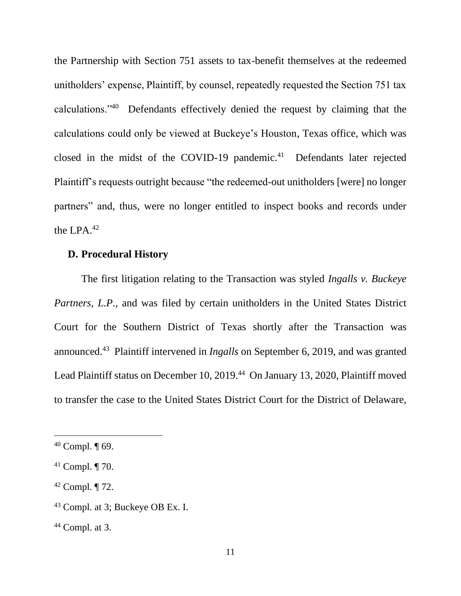the Partnership with Section 751 assets to tax-benefit themselves at the redeemed unitholders' expense, Plaintiff, by counsel, repeatedly requested the Section 751 tax calculations."<sup>40</sup> Defendants effectively denied the request by claiming that the calculations could only be viewed at Buckeye's Houston, Texas office, which was closed in the midst of the COVID-19 pandemic.<sup>41</sup> Defendants later rejected Plaintiff's requests outright because "the redeemed-out unitholders [were] no longer partners" and, thus, were no longer entitled to inspect books and records under the LPA.<sup>42</sup>

## **D. Procedural History**

The first litigation relating to the Transaction was styled *Ingalls v. Buckeye Partners, L.P.*, and was filed by certain unitholders in the United States District Court for the Southern District of Texas shortly after the Transaction was announced. <sup>43</sup> Plaintiff intervened in *Ingalls* on September 6, 2019, and was granted Lead Plaintiff status on December 10, 2019.<sup>44</sup> On January 13, 2020, Plaintiff moved to transfer the case to the United States District Court for the District of Delaware,

 $40$  Compl.  $\P$  69.

 $41$  Compl.  $\P$  70.

 $42$  Compl.  $\P$  72.

<sup>43</sup> Compl. at 3; Buckeye OB Ex. I.

 $44$  Compl. at 3.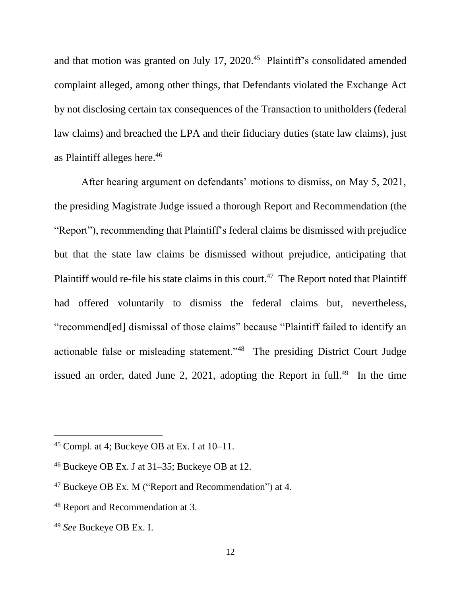and that motion was granted on July 17, 2020. <sup>45</sup> Plaintiff's consolidated amended complaint alleged, among other things, that Defendants violated the Exchange Act by not disclosing certain tax consequences of the Transaction to unitholders (federal law claims) and breached the LPA and their fiduciary duties (state law claims), just as Plaintiff alleges here. 46

After hearing argument on defendants' motions to dismiss, on May 5, 2021, the presiding Magistrate Judge issued a thorough Report and Recommendation (the "Report"), recommending that Plaintiff's federal claims be dismissed with prejudice but that the state law claims be dismissed without prejudice, anticipating that Plaintiff would re-file his state claims in this court.<sup>47</sup> The Report noted that Plaintiff had offered voluntarily to dismiss the federal claims but, nevertheless, "recommend[ed] dismissal of those claims" because "Plaintiff failed to identify an actionable false or misleading statement."<sup>48</sup> The presiding District Court Judge issued an order, dated June 2, 2021, adopting the Report in full.<sup>49</sup> In the time

<sup>45</sup> Compl. at 4; Buckeye OB at Ex. I at 10–11.

 $46$  Buckeye OB Ex. J at 31–35; Buckeye OB at 12.

<sup>47</sup> Buckeye OB Ex. M ("Report and Recommendation") at 4.

<sup>48</sup> Report and Recommendation at 3.

<sup>49</sup> *See* Buckeye OB Ex. I.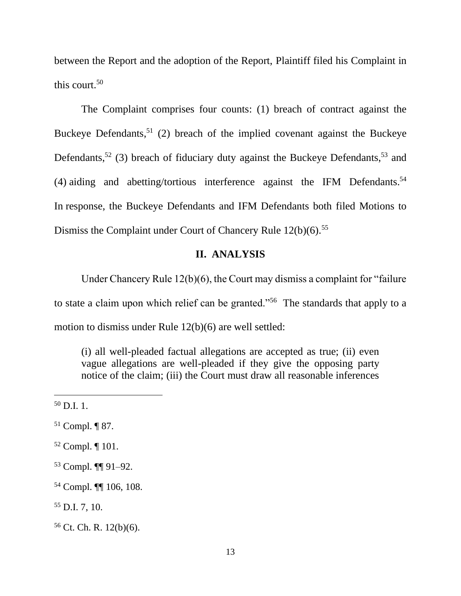between the Report and the adoption of the Report, Plaintiff filed his Complaint in this court. 50

The Complaint comprises four counts: (1) breach of contract against the Buckeye Defendants,  $51$  (2) breach of the implied covenant against the Buckeye Defendants,<sup>52</sup> (3) breach of fiduciary duty against the Buckeye Defendants,<sup>53</sup> and (4) aiding and abetting/tortious interference against the IFM Defendants. 54 In response, the Buckeye Defendants and IFM Defendants both filed Motions to Dismiss the Complaint under Court of Chancery Rule 12(b)(6).<sup>55</sup>

## **II. ANALYSIS**

Under Chancery Rule 12(b)(6), the Court may dismiss a complaint for "failure to state a claim upon which relief can be granted."<sup>56</sup> The standards that apply to a motion to dismiss under Rule 12(b)(6) are well settled:

(i) all well-pleaded factual allegations are accepted as true; (ii) even vague allegations are well-pleaded if they give the opposing party notice of the claim; (iii) the Court must draw all reasonable inferences

<sup>53</sup> Compl. ¶¶ 91–92.

 $50$  D.I. 1.

<sup>51</sup> Compl. ¶ 87.

<sup>52</sup> Compl. ¶ 101.

<sup>54</sup> Compl. ¶¶ 106, 108.

<sup>55</sup> D.I. 7, 10.

<sup>56</sup> Ct. Ch. R. 12(b)(6).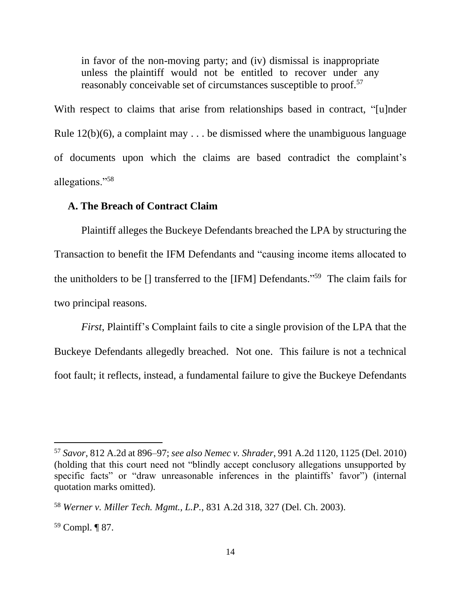in favor of the non-moving party; and (iv) dismissal is inappropriate unless the plaintiff would not be entitled to recover under any reasonably conceivable set of circumstances susceptible to proof.<sup>57</sup>

With respect to claims that arise from relationships based in contract, "[u]nder Rule  $12(b)(6)$ , a complaint may . . . be dismissed where the unambiguous language of documents upon which the claims are based contradict the complaint's allegations."<sup>58</sup>

### **A. The Breach of Contract Claim**

Plaintiff alleges the Buckeye Defendants breached the LPA by structuring the Transaction to benefit the IFM Defendants and "causing income items allocated to the unitholders to be [] transferred to the [IFM] Defendants." <sup>59</sup> The claim fails for two principal reasons.

*First*, Plaintiff's Complaint fails to cite a single provision of the LPA that the Buckeye Defendants allegedly breached. Not one. This failure is not a technical foot fault; it reflects, instead, a fundamental failure to give the Buckeye Defendants

<sup>57</sup> *Savor*, 812 A.2d at 896–97; *see also Nemec v. Shrader*, 991 A.2d 1120, 1125 (Del. 2010) (holding that this court need not "blindly accept conclusory allegations unsupported by specific facts" or "draw unreasonable inferences in the plaintiffs' favor") (internal quotation marks omitted).

<sup>58</sup> *Werner v. Miller Tech. Mgmt., L.P.*, 831 A.2d 318, 327 (Del. Ch. 2003).

<sup>59</sup> Compl. ¶ 87.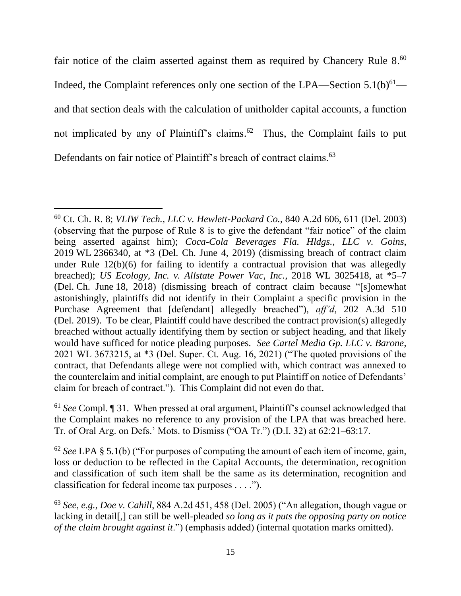fair notice of the claim asserted against them as required by Chancery Rule 8.<sup>60</sup> Indeed, the Complaint references only one section of the LPA—Section  $5.1(b)^{61}$  and that section deals with the calculation of unitholder capital accounts, a function not implicated by any of Plaintiff's claims.<sup>62</sup> Thus, the Complaint fails to put Defendants on fair notice of Plaintiff's breach of contract claims.<sup>63</sup>

<sup>60</sup> Ct. Ch. R. 8; *VLIW Tech., LLC v. Hewlett-Packard Co.*, 840 A.2d 606, 611 (Del. 2003) (observing that the purpose of Rule 8 is to give the defendant "fair notice" of the claim being asserted against him); *Coca-Cola Beverages Fla. Hldgs., LLC v. Goins*, 2019 WL 2366340, at \*3 (Del. Ch. June 4, 2019) (dismissing breach of contract claim under Rule 12(b)(6) for failing to identify a contractual provision that was allegedly breached); *US Ecology, Inc. v. Allstate Power Vac, Inc.*, 2018 WL 3025418, at \*5–7 (Del. Ch. June 18, 2018) (dismissing breach of contract claim because "[s]omewhat astonishingly, plaintiffs did not identify in their Complaint a specific provision in the Purchase Agreement that [defendant] allegedly breached"), *aff'd*, 202 A.3d 510 (Del. 2019). To be clear, Plaintiff could have described the contract provision(s) allegedly breached without actually identifying them by section or subject heading, and that likely would have sufficed for notice pleading purposes. *See Cartel Media Gp. LLC v. Barone*, 2021 WL 3673215, at \*3 (Del. Super. Ct. Aug. 16, 2021) ("The quoted provisions of the contract, that Defendants allege were not complied with, which contract was annexed to the counterclaim and initial complaint, are enough to put Plaintiff on notice of Defendants' claim for breach of contract."). This Complaint did not even do that.

<sup>61</sup> *See* Compl. ¶ 31. When pressed at oral argument, Plaintiff's counsel acknowledged that the Complaint makes no reference to any provision of the LPA that was breached here. Tr. of Oral Arg. on Defs.' Mots. to Dismiss ("OA Tr.") (D.I. 32) at 62:21–63:17.

<sup>62</sup> *See* LPA § 5.1(b) ("For purposes of computing the amount of each item of income, gain, loss or deduction to be reflected in the Capital Accounts, the determination, recognition and classification of such item shall be the same as its determination, recognition and classification for federal income tax purposes . . . .").

<sup>63</sup> *See, e.g.*, *Doe v. Cahill*, 884 A.2d 451, 458 (Del. 2005) ("An allegation, though vague or lacking in detail[,] can still be well-pleaded *so long as it puts the opposing party on notice of the claim brought against it*.") (emphasis added) (internal quotation marks omitted).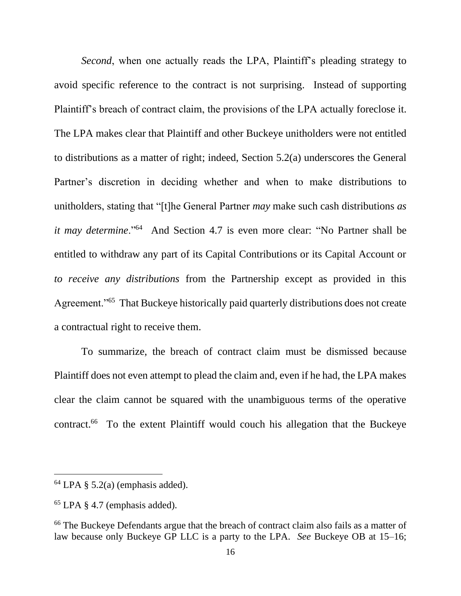*Second*, when one actually reads the LPA, Plaintiff's pleading strategy to avoid specific reference to the contract is not surprising. Instead of supporting Plaintiff's breach of contract claim, the provisions of the LPA actually foreclose it. The LPA makes clear that Plaintiff and other Buckeye unitholders were not entitled to distributions as a matter of right; indeed, Section 5.2(a) underscores the General Partner's discretion in deciding whether and when to make distributions to unitholders, stating that "[t]he General Partner *may* make such cash distributions *as it may determine*."<sup>64</sup> And Section 4.7 is even more clear: "No Partner shall be entitled to withdraw any part of its Capital Contributions or its Capital Account or *to receive any distributions* from the Partnership except as provided in this Agreement."<sup>65</sup> That Buckeye historically paid quarterly distributions does not create a contractual right to receive them.

To summarize, the breach of contract claim must be dismissed because Plaintiff does not even attempt to plead the claim and, even if he had, the LPA makes clear the claim cannot be squared with the unambiguous terms of the operative contract. <sup>66</sup> To the extent Plaintiff would couch his allegation that the Buckeye

 $64$  LPA § 5.2(a) (emphasis added).

<sup>65</sup> LPA § 4.7 (emphasis added).

<sup>&</sup>lt;sup>66</sup> The Buckeye Defendants argue that the breach of contract claim also fails as a matter of law because only Buckeye GP LLC is a party to the LPA. *See* Buckeye OB at 15–16;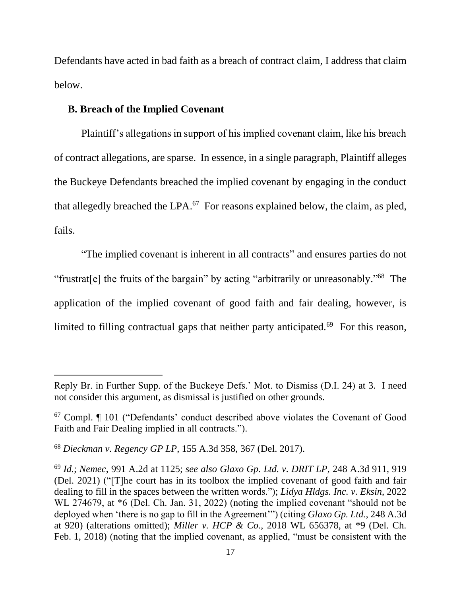Defendants have acted in bad faith as a breach of contract claim, I address that claim below.

## **B. Breach of the Implied Covenant**

Plaintiff's allegations in support of his implied covenant claim, like his breach of contract allegations, are sparse. In essence, in a single paragraph, Plaintiff alleges the Buckeye Defendants breached the implied covenant by engaging in the conduct that allegedly breached the LPA.<sup>67</sup> For reasons explained below, the claim, as pled, fails.

"The implied covenant is inherent in all contracts" and ensures parties do not "frustrat[e] the fruits of the bargain" by acting "arbitrarily or unreasonably."<sup>68</sup> The application of the implied covenant of good faith and fair dealing, however, is limited to filling contractual gaps that neither party anticipated.<sup>69</sup> For this reason,

Reply Br. in Further Supp. of the Buckeye Defs.' Mot. to Dismiss (D.I. 24) at 3. I need not consider this argument, as dismissal is justified on other grounds.

<sup>67</sup> Compl. ¶ 101 ("Defendants' conduct described above violates the Covenant of Good Faith and Fair Dealing implied in all contracts.").

<sup>68</sup> *Dieckman v. Regency GP LP*, 155 A.3d 358, 367 (Del. 2017).

<sup>69</sup> *Id.*; *Nemec*, 991 A.2d at 1125; *see also Glaxo Gp. Ltd. v. DRIT LP*, 248 A.3d 911, 919 (Del. 2021) ("[T]he court has in its toolbox the implied covenant of good faith and fair dealing to fill in the spaces between the written words."); *Lidya Hldgs. Inc. v. Eksin*, 2022 WL 274679, at \*6 (Del. Ch. Jan. 31, 2022) (noting the implied covenant "should not be deployed when 'there is no gap to fill in the Agreement'") (citing *Glaxo Gp. Ltd.*, 248 A.3d at 920) (alterations omitted); *Miller v. HCP & Co.*, 2018 WL 656378, at \*9 (Del. Ch. Feb. 1, 2018) (noting that the implied covenant, as applied, "must be consistent with the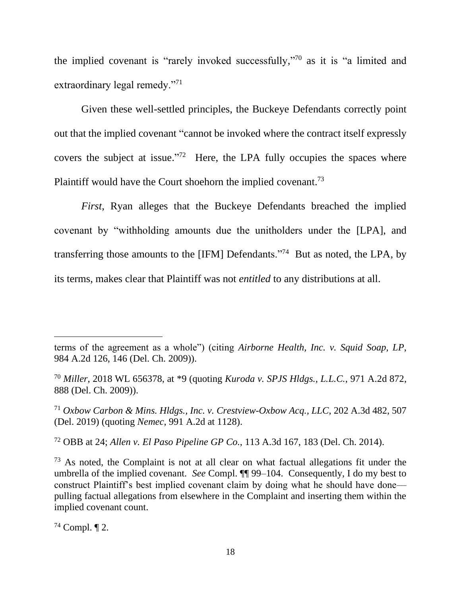the implied covenant is "rarely invoked successfully," <sup>70</sup> as it is "a limited and extraordinary legal remedy."<sup>71</sup>

Given these well-settled principles, the Buckeye Defendants correctly point out that the implied covenant "cannot be invoked where the contract itself expressly covers the subject at issue."<sup>72</sup> Here, the LPA fully occupies the spaces where Plaintiff would have the Court shoehorn the implied covenant.<sup>73</sup>

*First*, Ryan alleges that the Buckeye Defendants breached the implied covenant by "withholding amounts due the unitholders under the [LPA], and transferring those amounts to the [IFM] Defendants."<sup>74</sup> But as noted, the LPA, by its terms, makes clear that Plaintiff was not *entitled* to any distributions at all.

<sup>72</sup> OBB at 24; *Allen v. El Paso Pipeline GP Co.*, 113 A.3d 167, 183 (Del. Ch. 2014).

 $74$  Compl.  $\P$  2.

terms of the agreement as a whole") (citing *Airborne Health, Inc. v. Squid Soap, LP*, 984 A.2d 126, 146 (Del. Ch. 2009)).

<sup>70</sup> *Miller*, 2018 WL 656378, at \*9 (quoting *Kuroda v. SPJS Hldgs., L.L.C.*, 971 A.2d 872, 888 (Del. Ch. 2009)).

<sup>71</sup> *Oxbow Carbon & Mins. Hldgs., Inc. v. Crestview-Oxbow Acq., LLC*, 202 A.3d 482, 507 (Del. 2019) (quoting *Nemec*, 991 A.2d at 1128).

 $73$  As noted, the Complaint is not at all clear on what factual allegations fit under the umbrella of the implied covenant. *See* Compl. ¶¶ 99–104. Consequently, I do my best to construct Plaintiff's best implied covenant claim by doing what he should have done–– pulling factual allegations from elsewhere in the Complaint and inserting them within the implied covenant count.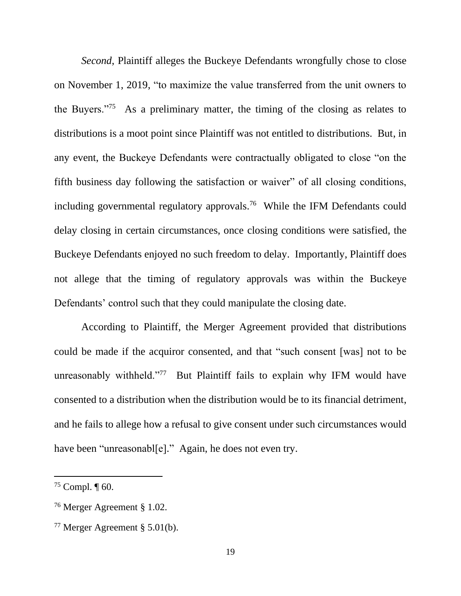*Second*, Plaintiff alleges the Buckeye Defendants wrongfully chose to close on November 1, 2019, "to maximize the value transferred from the unit owners to the Buyers."<sup>75</sup> As a preliminary matter, the timing of the closing as relates to distributions is a moot point since Plaintiff was not entitled to distributions. But, in any event, the Buckeye Defendants were contractually obligated to close "on the fifth business day following the satisfaction or waiver" of all closing conditions, including governmental regulatory approvals.<sup>76</sup> While the IFM Defendants could delay closing in certain circumstances, once closing conditions were satisfied, the Buckeye Defendants enjoyed no such freedom to delay. Importantly, Plaintiff does not allege that the timing of regulatory approvals was within the Buckeye Defendants' control such that they could manipulate the closing date.

According to Plaintiff, the Merger Agreement provided that distributions could be made if the acquiror consented, and that "such consent [was] not to be unreasonably withheld."<sup>77</sup> But Plaintiff fails to explain why IFM would have consented to a distribution when the distribution would be to its financial detriment, and he fails to allege how a refusal to give consent under such circumstances would have been "unreasonabl[e]." Again, he does not even try.

 $75$  Compl.  $\P$  60.

<sup>76</sup> Merger Agreement § 1.02.

<sup>77</sup> Merger Agreement § 5.01(b).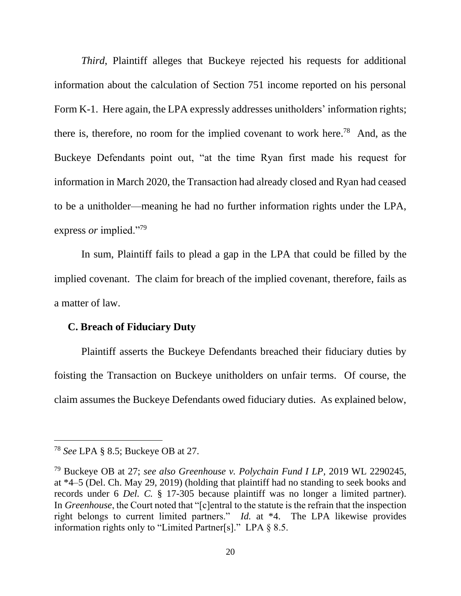*Third*, Plaintiff alleges that Buckeye rejected his requests for additional information about the calculation of Section 751 income reported on his personal Form K-1. Here again, the LPA expressly addresses unitholders' information rights; there is, therefore, no room for the implied covenant to work here.<sup>78</sup> And, as the Buckeye Defendants point out, "at the time Ryan first made his request for information in March 2020, the Transaction had already closed and Ryan had ceased to be a unitholder—meaning he had no further information rights under the LPA, express *or* implied."<sup>79</sup>

In sum, Plaintiff fails to plead a gap in the LPA that could be filled by the implied covenant. The claim for breach of the implied covenant, therefore, fails as a matter of law.

### **C. Breach of Fiduciary Duty**

Plaintiff asserts the Buckeye Defendants breached their fiduciary duties by foisting the Transaction on Buckeye unitholders on unfair terms. Of course, the claim assumes the Buckeye Defendants owed fiduciary duties. As explained below,

<sup>78</sup> *See* LPA § 8.5; Buckeye OB at 27.

<sup>79</sup> Buckeye OB at 27; *see also Greenhouse v. Polychain Fund I LP*, 2019 WL 2290245, at \*4–5 (Del. Ch. May 29, 2019) (holding that plaintiff had no standing to seek books and records under 6 *Del. C.* § 17-305 because plaintiff was no longer a limited partner). In *Greenhouse*, the Court noted that "[c]entral to the statute is the refrain that the inspection right belongs to current limited partners." *Id.* at \*4. The LPA likewise provides information rights only to "Limited Partner[s]." LPA § 8.5.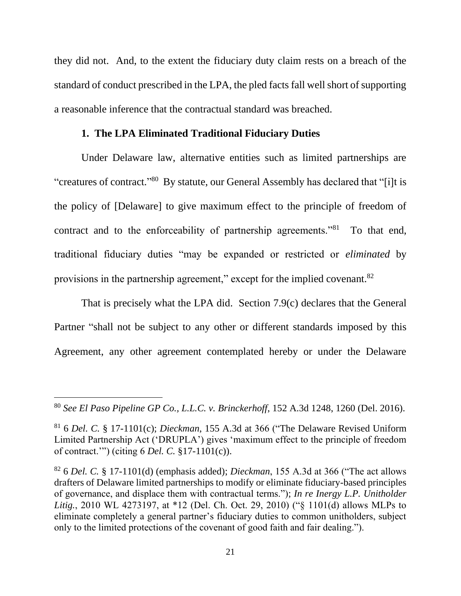they did not. And, to the extent the fiduciary duty claim rests on a breach of the standard of conduct prescribed in the LPA, the pled facts fall well short of supporting a reasonable inference that the contractual standard was breached.

## **1. The LPA Eliminated Traditional Fiduciary Duties**

Under Delaware law, alternative entities such as limited partnerships are "creatures of contract."<sup>80</sup> By statute, our General Assembly has declared that "[i]t is the policy of [Delaware] to give maximum effect to the principle of freedom of contract and to the enforceability of partnership agreements."<sup>81</sup> To that end, traditional fiduciary duties "may be expanded or restricted or *eliminated* by provisions in the partnership agreement," except for the implied covenant.<sup>82</sup>

That is precisely what the LPA did. Section 7.9(c) declares that the General Partner "shall not be subject to any other or different standards imposed by this Agreement, any other agreement contemplated hereby or under the Delaware

<sup>80</sup> *See El Paso Pipeline GP Co., L.L.C. v. Brinckerhoff*, 152 A.3d 1248, 1260 (Del. 2016).

<sup>81</sup> 6 *Del. C.* § 17-1101(c); *Dieckman*, 155 A.3d at 366 ("The Delaware Revised Uniform Limited Partnership Act ('DRUPLA') gives 'maximum effect to the principle of freedom of contract.'") (citing 6 *Del. C.* §17-1101(c)).

<sup>82</sup> 6 *Del. C.* § 17-1101(d) (emphasis added); *Dieckman*, 155 A.3d at 366 ("The act allows drafters of Delaware limited partnerships to modify or eliminate fiduciary-based principles of governance, and displace them with contractual terms."); *In re Inergy L.P. Unitholder Litig.*, 2010 WL 4273197, at \*12 (Del. Ch. Oct. 29, 2010) ("§ 1101(d) allows MLPs to eliminate completely a general partner's fiduciary duties to common unitholders, subject only to the limited protections of the covenant of good faith and fair dealing.").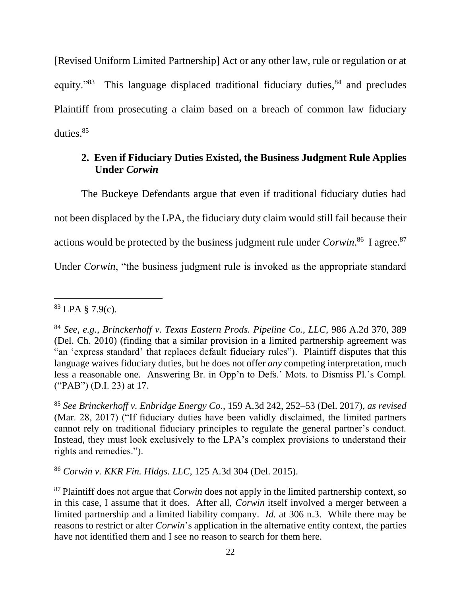[Revised Uniform Limited Partnership] Act or any other law, rule or regulation or at equity."<sup>83</sup> This language displaced traditional fiduciary duties,<sup>84</sup> and precludes Plaintiff from prosecuting a claim based on a breach of common law fiduciary duties. 85

# **2. Even if Fiduciary Duties Existed, the Business Judgment Rule Applies Under** *Corwin*

The Buckeye Defendants argue that even if traditional fiduciary duties had not been displaced by the LPA, the fiduciary duty claim would still fail because their actions would be protected by the business judgment rule under *Corwin*.<sup>86</sup> I agree.<sup>87</sup>

Under *Corwin*, "the business judgment rule is invoked as the appropriate standard

<sup>86</sup> *Corwin v. KKR Fin. Hldgs. LLC*, 125 A.3d 304 (Del. 2015).

 $83$  LPA § 7.9(c).

<sup>84</sup> *See, e.g.*, *Brinckerhoff v. Texas Eastern Prods. Pipeline Co., LLC*, 986 A.2d 370, 389 (Del. Ch. 2010) (finding that a similar provision in a limited partnership agreement was "an 'express standard' that replaces default fiduciary rules"). Plaintiff disputes that this language waives fiduciary duties, but he does not offer *any* competing interpretation, much less a reasonable one. Answering Br. in Opp'n to Defs.' Mots. to Dismiss Pl.'s Compl. ("PAB") (D.I. 23) at 17.

<sup>85</sup> *See Brinckerhoff v. Enbridge Energy Co.*, 159 A.3d 242, 252–53 (Del. 2017), *as revised* (Mar. 28, 2017) ("If fiduciary duties have been validly disclaimed, the limited partners cannot rely on traditional fiduciary principles to regulate the general partner's conduct. Instead, they must look exclusively to the LPA's complex provisions to understand their rights and remedies.").

<sup>87</sup> Plaintiff does not argue that *Corwin* does not apply in the limited partnership context, so in this case, I assume that it does. After all, *Corwin* itself involved a merger between a limited partnership and a limited liability company. *Id.* at 306 n.3. While there may be reasons to restrict or alter *Corwin*'s application in the alternative entity context, the parties have not identified them and I see no reason to search for them here.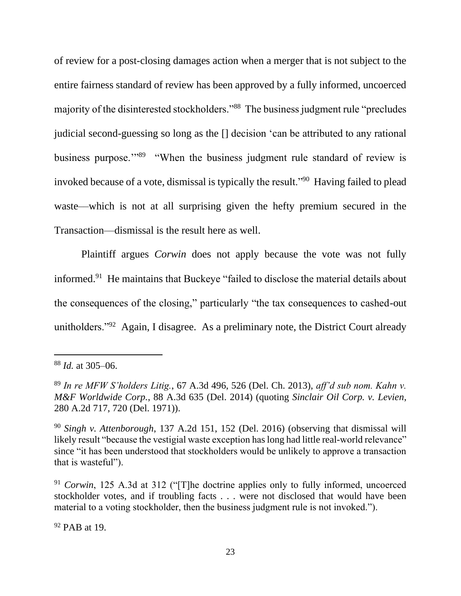of review for a post-closing damages action when a merger that is not subject to the entire fairness standard of review has been approved by a fully informed, uncoerced majority of the disinterested stockholders."<sup>88</sup> The business judgment rule "precludes judicial second-guessing so long as the [] decision 'can be attributed to any rational business purpose."<sup>89</sup> "When the business judgment rule standard of review is invoked because of a vote, dismissal is typically the result."<sup>90</sup> Having failed to plead waste—which is not at all surprising given the hefty premium secured in the Transaction––dismissal is the result here as well.

Plaintiff argues *Corwin* does not apply because the vote was not fully informed.<sup>91</sup> He maintains that Buckeye "failed to disclose the material details about the consequences of the closing," particularly "the tax consequences to cashed-out unitholders."<sup>92</sup> Again, I disagree. As a preliminary note, the District Court already

<sup>92</sup> PAB at 19.

<sup>88</sup> *Id.* at 305–06.

<sup>89</sup> *In re MFW S'holders Litig.*, 67 A.3d 496, 526 (Del. Ch. 2013), *aff'd sub nom. Kahn v. M&F Worldwide Corp.*, 88 A.3d 635 (Del. 2014) (quoting *Sinclair Oil Corp. v. Levien*, 280 A.2d 717, 720 (Del. 1971)).

<sup>90</sup> *Singh v. Attenborough*, 137 A.2d 151, 152 (Del. 2016) (observing that dismissal will likely result "because the vestigial waste exception has long had little real-world relevance" since "it has been understood that stockholders would be unlikely to approve a transaction that is wasteful").

<sup>91</sup> *Corwin*, 125 A.3d at 312 ("[T]he doctrine applies only to fully informed, uncoerced stockholder votes, and if troubling facts . . . were not disclosed that would have been material to a voting stockholder, then the business judgment rule is not invoked.").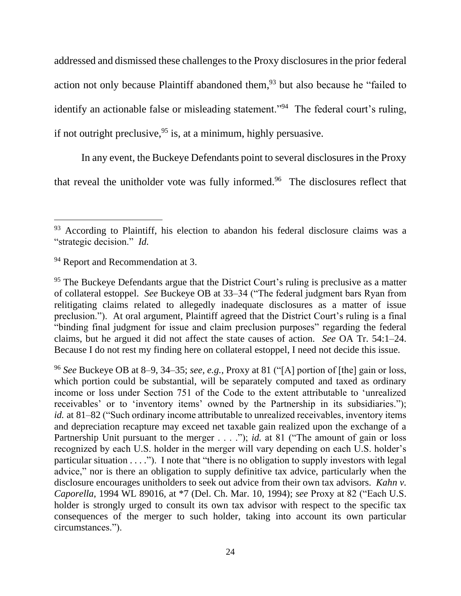addressed and dismissed these challenges to the Proxy disclosures in the prior federal action not only because Plaintiff abandoned them,<sup>93</sup> but also because he "failed to identify an actionable false or misleading statement."<sup>94</sup> The federal court's ruling, if not outright preclusive,  $95$  is, at a minimum, highly persuasive.

In any event, the Buckeye Defendants point to several disclosures in the Proxy that reveal the unitholder vote was fully informed.<sup>96</sup> The disclosures reflect that

<sup>&</sup>lt;sup>93</sup> According to Plaintiff, his election to abandon his federal disclosure claims was a "strategic decision." *Id.*

<sup>&</sup>lt;sup>94</sup> Report and Recommendation at 3.

 $95$  The Buckeye Defendants argue that the District Court's ruling is preclusive as a matter of collateral estoppel. *See* Buckeye OB at 33–34 ("The federal judgment bars Ryan from relitigating claims related to allegedly inadequate disclosures as a matter of issue preclusion."). At oral argument, Plaintiff agreed that the District Court's ruling is a final "binding final judgment for issue and claim preclusion purposes" regarding the federal claims, but he argued it did not affect the state causes of action. *See* OA Tr. 54:1–24. Because I do not rest my finding here on collateral estoppel, I need not decide this issue.

<sup>96</sup> *See* Buckeye OB at 8–9, 34–35; *see, e.g.*, Proxy at 81 ("[A] portion of [the] gain or loss, which portion could be substantial, will be separately computed and taxed as ordinary income or loss under Section 751 of the Code to the extent attributable to 'unrealized receivables' or to 'inventory items' owned by the Partnership in its subsidiaries."); *id.* at 81–82 ("Such ordinary income attributable to unrealized receivables, inventory items and depreciation recapture may exceed net taxable gain realized upon the exchange of a Partnership Unit pursuant to the merger . . . ."); *id.* at 81 ("The amount of gain or loss recognized by each U.S. holder in the merger will vary depending on each U.S. holder's particular situation . . . ."). I note that "there is no obligation to supply investors with legal advice," nor is there an obligation to supply definitive tax advice, particularly when the disclosure encourages unitholders to seek out advice from their own tax advisors. *Kahn v. Caporella*, 1994 WL 89016, at \*7 (Del. Ch. Mar. 10, 1994); *see* Proxy at 82 ("Each U.S. holder is strongly urged to consult its own tax advisor with respect to the specific tax consequences of the merger to such holder, taking into account its own particular circumstances.").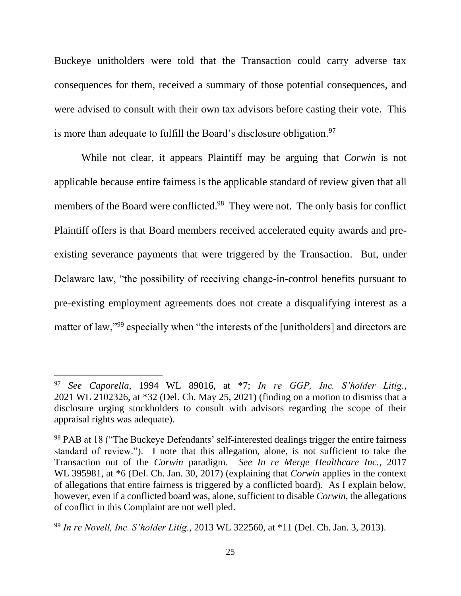Buckeye unitholders were told that the Transaction could carry adverse tax consequences for them, received a summary of those potential consequences, and were advised to consult with their own tax advisors before casting their vote. This is more than adequate to fulfill the Board's disclosure obligation.  $97$ 

While not clear, it appears Plaintiff may be arguing that *Corwin* is not applicable because entire fairness is the applicable standard of review given that all members of the Board were conflicted.<sup>98</sup> They were not. The only basis for conflict Plaintiff offers is that Board members received accelerated equity awards and preexisting severance payments that were triggered by the Transaction. But, under Delaware law, "the possibility of receiving change-in-control benefits pursuant to pre-existing employment agreements does not create a disqualifying interest as a matter of law,"<sup>99</sup> especially when "the interests of the [unitholders] and directors are

<sup>97</sup> *See Caporella*, 1994 WL 89016, at \*7; *In re GGP, Inc. S'holder Litig.*, 2021 WL 2102326, at \*32 (Del. Ch. May 25, 2021) (finding on a motion to dismiss that a disclosure urging stockholders to consult with advisors regarding the scope of their appraisal rights was adequate).

<sup>98</sup> PAB at 18 ("The Buckeye Defendants' self-interested dealings trigger the entire fairness standard of review."). I note that this allegation, alone, is not sufficient to take the Transaction out of the *Corwin* paradigm. *See In re Merge Healthcare Inc.*, 2017 WL 395981, at \*6 (Del. Ch. Jan. 30, 2017) (explaining that *Corwin* applies in the context of allegations that entire fairness is triggered by a conflicted board). As I explain below, however, even if a conflicted board was, alone, sufficient to disable *Corwin*, the allegations of conflict in this Complaint are not well pled.

<sup>99</sup> *In re Novell, Inc. S'holder Litig.*, 2013 WL 322560, at \*11 (Del. Ch. Jan. 3, 2013).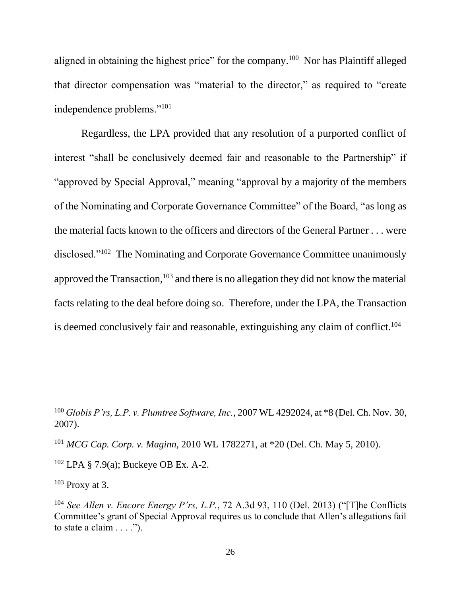aligned in obtaining the highest price" for the company.<sup>100</sup> Nor has Plaintiff alleged that director compensation was "material to the director," as required to "create independence problems."<sup>101</sup>

Regardless, the LPA provided that any resolution of a purported conflict of interest "shall be conclusively deemed fair and reasonable to the Partnership" if "approved by Special Approval," meaning "approval by a majority of the members of the Nominating and Corporate Governance Committee" of the Board, "as long as the material facts known to the officers and directors of the General Partner . . . were disclosed."<sup>102</sup> The Nominating and Corporate Governance Committee unanimously approved the Transaction, <sup>103</sup> and there is no allegation they did not know the material facts relating to the deal before doing so. Therefore, under the LPA, the Transaction is deemed conclusively fair and reasonable, extinguishing any claim of conflict.<sup>104</sup>

 $102$  LPA § 7.9(a); Buckeye OB Ex. A-2.

 $103$  Proxy at 3.

<sup>100</sup> *Globis P'rs, L.P. v. Plumtree Software, Inc.*, 2007 WL 4292024, at \*8 (Del. Ch. Nov. 30, 2007).

<sup>101</sup> *MCG Cap. Corp. v. Maginn*, 2010 WL 1782271, at \*20 (Del. Ch. May 5, 2010).

<sup>104</sup> *See Allen v. Encore Energy P'rs, L.P.*, 72 A.3d 93, 110 (Del. 2013) ("[T]he Conflicts Committee's grant of Special Approval requires us to conclude that Allen's allegations fail to state a claim  $\dots$ .").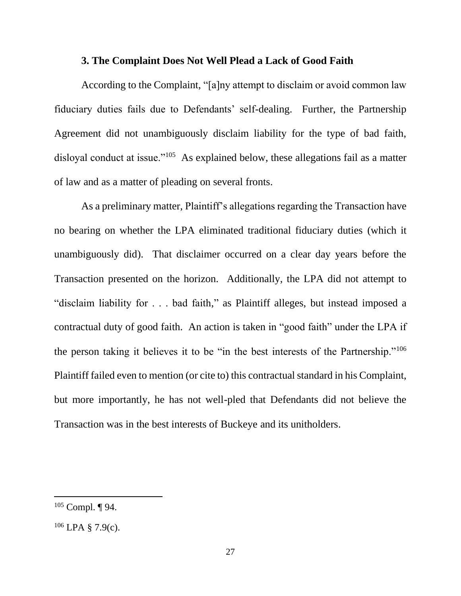#### **3. The Complaint Does Not Well Plead a Lack of Good Faith**

According to the Complaint, "[a]ny attempt to disclaim or avoid common law fiduciary duties fails due to Defendants' self-dealing. Further, the Partnership Agreement did not unambiguously disclaim liability for the type of bad faith, disloyal conduct at issue."<sup>105</sup> As explained below, these allegations fail as a matter of law and as a matter of pleading on several fronts.

As a preliminary matter, Plaintiff's allegations regarding the Transaction have no bearing on whether the LPA eliminated traditional fiduciary duties (which it unambiguously did). That disclaimer occurred on a clear day years before the Transaction presented on the horizon. Additionally, the LPA did not attempt to "disclaim liability for . . . bad faith," as Plaintiff alleges, but instead imposed a contractual duty of good faith. An action is taken in "good faith" under the LPA if the person taking it believes it to be "in the best interests of the Partnership."<sup>106</sup> Plaintiff failed even to mention (or cite to) this contractual standard in his Complaint, but more importantly, he has not well-pled that Defendants did not believe the Transaction was in the best interests of Buckeye and its unitholders.

 $105$  Compl. ¶ 94.

 $106$  LPA § 7.9(c).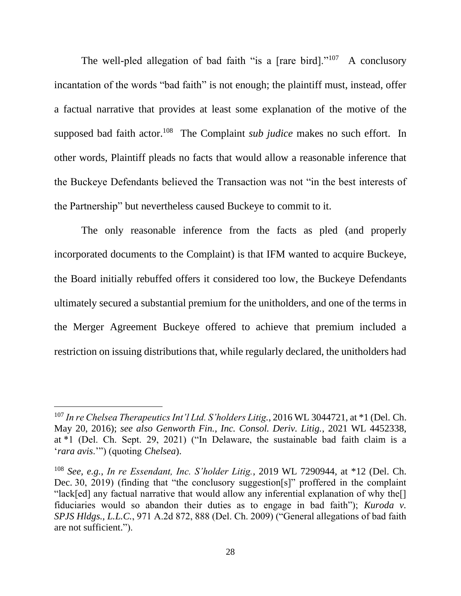The well-pled allegation of bad faith "is a [rare bird]."<sup>107</sup> A conclusory incantation of the words "bad faith" is not enough; the plaintiff must, instead, offer a factual narrative that provides at least some explanation of the motive of the supposed bad faith actor.<sup>108</sup> The Complaint *sub judice* makes no such effort. In other words, Plaintiff pleads no facts that would allow a reasonable inference that the Buckeye Defendants believed the Transaction was not "in the best interests of the Partnership" but nevertheless caused Buckeye to commit to it.

The only reasonable inference from the facts as pled (and properly incorporated documents to the Complaint) is that IFM wanted to acquire Buckeye, the Board initially rebuffed offers it considered too low, the Buckeye Defendants ultimately secured a substantial premium for the unitholders, and one of the terms in the Merger Agreement Buckeye offered to achieve that premium included a restriction on issuing distributions that, while regularly declared, the unitholders had

<sup>107</sup> *In re Chelsea Therapeutics Int'l Ltd. S'holders Litig.*, 2016 WL 3044721, at \*1 (Del. Ch. May 20, 2016); *see also Genworth Fin., Inc. Consol. Deriv. Litig.*, 2021 WL 4452338, at \*1 (Del. Ch. Sept. 29, 2021) ("In Delaware, the sustainable bad faith claim is a '*rara avis*.'") (quoting *Chelsea*).

<sup>108</sup> *See, e.g.*, *In re Essendant, Inc. S'holder Litig.*, 2019 WL 7290944, at \*12 (Del. Ch. Dec. 30, 2019) (finding that "the conclusory suggestion[s]" proffered in the complaint "lack[ed] any factual narrative that would allow any inferential explanation of why the[] fiduciaries would so abandon their duties as to engage in bad faith"); *Kuroda v. SPJS Hldgs., L.L.C.*, 971 A.2d 872, 888 (Del. Ch. 2009) ("General allegations of bad faith are not sufficient.").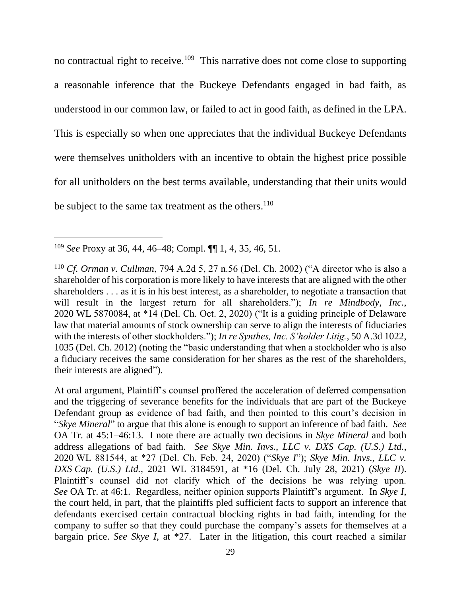no contractual right to receive.<sup>109</sup> This narrative does not come close to supporting a reasonable inference that the Buckeye Defendants engaged in bad faith, as understood in our common law, or failed to act in good faith, as defined in the LPA. This is especially so when one appreciates that the individual Buckeye Defendants were themselves unitholders with an incentive to obtain the highest price possible for all unitholders on the best terms available, understanding that their units would be subject to the same tax treatment as the others.<sup>110</sup>

At oral argument, Plaintiff's counsel proffered the acceleration of deferred compensation and the triggering of severance benefits for the individuals that are part of the Buckeye Defendant group as evidence of bad faith, and then pointed to this court's decision in "*Skye Mineral*" to argue that this alone is enough to support an inference of bad faith. *See*  OA Tr. at 45:1–46:13. I note there are actually two decisions in *Skye Mineral* and both address allegations of bad faith. *See Skye Min. Invs., LLC v. DXS Cap. (U.S.) Ltd.*, 2020 WL 881544, at \*27 (Del. Ch. Feb. 24, 2020) ("*Skye I*"); *Skye Min. Invs., LLC v. DXS Cap. (U.S.) Ltd.*, 2021 WL 3184591, at \*16 (Del. Ch. July 28, 2021) (*Skye II*). Plaintiff's counsel did not clarify which of the decisions he was relying upon. *See* OA Tr. at 46:1. Regardless, neither opinion supports Plaintiff's argument. In *Skye I*, the court held, in part, that the plaintiffs pled sufficient facts to support an inference that defendants exercised certain contractual blocking rights in bad faith, intending for the company to suffer so that they could purchase the company's assets for themselves at a bargain price. *See Skye I*, at \*27. Later in the litigation, this court reached a similar

<sup>109</sup> *See* Proxy at 36, 44, 46–48; Compl. ¶¶ 1, 4, 35, 46, 51.

<sup>110</sup> *Cf. Orman v. Cullman*, 794 A.2d 5, 27 n.56 (Del. Ch. 2002) ("A director who is also a shareholder of his corporation is more likely to have interests that are aligned with the other shareholders . . . as it is in his best interest, as a shareholder, to negotiate a transaction that will result in the largest return for all shareholders."); *In re Mindbody, Inc.*, 2020 WL 5870084, at \*14 (Del. Ch. Oct. 2, 2020) ("It is a guiding principle of Delaware law that material amounts of stock ownership can serve to align the interests of fiduciaries with the interests of other stockholders."); *In re Synthes, Inc. S'holder Litig.*, 50 A.3d 1022, 1035 (Del. Ch. 2012) (noting the "basic understanding that when a stockholder who is also a fiduciary receives the same consideration for her shares as the rest of the shareholders, their interests are aligned").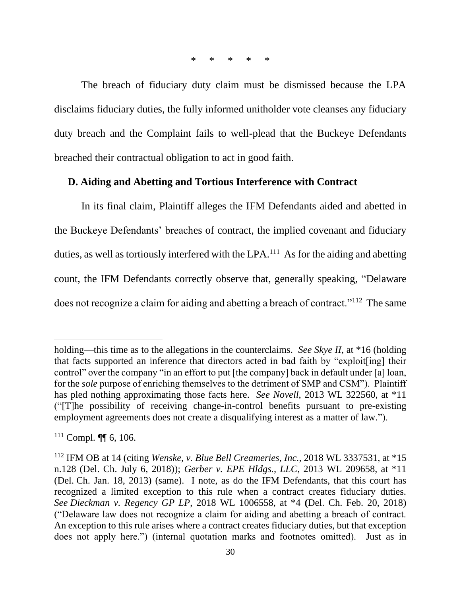\* \* \* \* \*

The breach of fiduciary duty claim must be dismissed because the LPA disclaims fiduciary duties, the fully informed unitholder vote cleanses any fiduciary duty breach and the Complaint fails to well-plead that the Buckeye Defendants breached their contractual obligation to act in good faith.

## **D. Aiding and Abetting and Tortious Interference with Contract**

In its final claim, Plaintiff alleges the IFM Defendants aided and abetted in the Buckeye Defendants' breaches of contract, the implied covenant and fiduciary duties, as well as tortiously interfered with the LPA.<sup>111</sup> As for the aiding and abetting count, the IFM Defendants correctly observe that, generally speaking, "Delaware does not recognize a claim for aiding and abetting a breach of contract."<sup>112</sup> The same

holding—this time as to the allegations in the counterclaims. *See Skye II*, at \*16 (holding that facts supported an inference that directors acted in bad faith by "exploit[ing] their control" over the company "in an effort to put [the company] back in default under [a] loan, for the *sole* purpose of enriching themselves to the detriment of SMP and CSM"). Plaintiff has pled nothing approximating those facts here. *See Novell*, 2013 WL 322560, at \*11 ("[T]he possibility of receiving change-in-control benefits pursuant to pre-existing employment agreements does not create a disqualifying interest as a matter of law.").

 $111$  Compl.  $\P\P$  6, 106.

<sup>112</sup> IFM OB at 14 (citing *Wenske, v. Blue Bell Creameries, Inc.*, 2018 WL 3337531, at \*15 n.128 (Del. Ch. July 6, 2018)); *Gerber v. EPE Hldgs., LLC*, 2013 WL 209658, at \*11 (Del. Ch. Jan. 18, 2013) (same). I note, as do the IFM Defendants, that this court has recognized a limited exception to this rule when a contract creates fiduciary duties. *See Dieckman v. Regency GP LP*, 2018 WL 1006558, at \*4 **(**Del. Ch. Feb. 20, 2018) ("Delaware law does not recognize a claim for aiding and abetting a breach of contract. An exception to this rule arises where a contract creates fiduciary duties, but that exception does not apply here.") (internal quotation marks and footnotes omitted). Just as in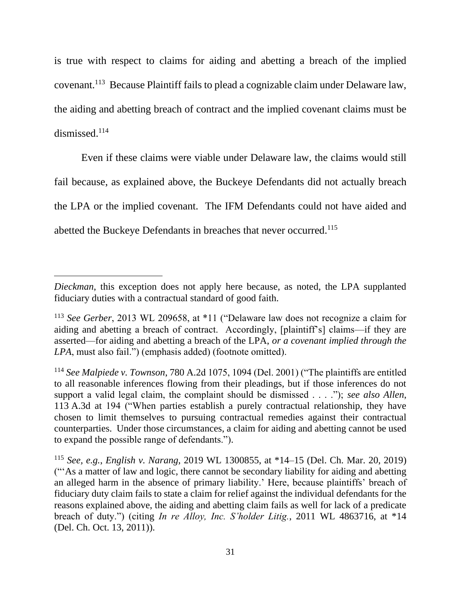is true with respect to claims for aiding and abetting a breach of the implied covenant.<sup>113</sup> Because Plaintiff fails to plead a cognizable claim under Delaware law, the aiding and abetting breach of contract and the implied covenant claims must be dismissed.<sup>114</sup>

Even if these claims were viable under Delaware law, the claims would still fail because, as explained above, the Buckeye Defendants did not actually breach the LPA or the implied covenant. The IFM Defendants could not have aided and abetted the Buckeye Defendants in breaches that never occurred.<sup>115</sup>

*Dieckman*, this exception does not apply here because, as noted, the LPA supplanted fiduciary duties with a contractual standard of good faith.

<sup>113</sup> *See Gerber*, 2013 WL 209658, at \*11 ("Delaware law does not recognize a claim for aiding and abetting a breach of contract. Accordingly, [plaintiff's] claims—if they are asserted—for aiding and abetting a breach of the LPA, *or a covenant implied through the LPA*, must also fail.") (emphasis added) (footnote omitted).

<sup>114</sup> *See Malpiede v. Townson*, 780 A.2d 1075, 1094 (Del. 2001) ("The plaintiffs are entitled to all reasonable inferences flowing from their pleadings, but if those inferences do not support a valid legal claim, the complaint should be dismissed . . . ."); *see also Allen*, 113 A.3d at 194 ("When parties establish a purely contractual relationship, they have chosen to limit themselves to pursuing contractual remedies against their contractual counterparties. Under those circumstances, a claim for aiding and abetting cannot be used to expand the possible range of defendants.").

<sup>115</sup> *See, e.g.*, *English v. Narang*, 2019 WL 1300855, at \*14–15 (Del. Ch. Mar. 20, 2019) ("'As a matter of law and logic, there cannot be secondary liability for aiding and abetting an alleged harm in the absence of primary liability.' Here, because plaintiffs' breach of fiduciary duty claim fails to state a claim for relief against the individual defendants for the reasons explained above, the aiding and abetting claim fails as well for lack of a predicate breach of duty.") (citing *In re Alloy, Inc. S'holder Litig.*, 2011 WL 4863716, at \*14 (Del. Ch. Oct. 13, 2011)).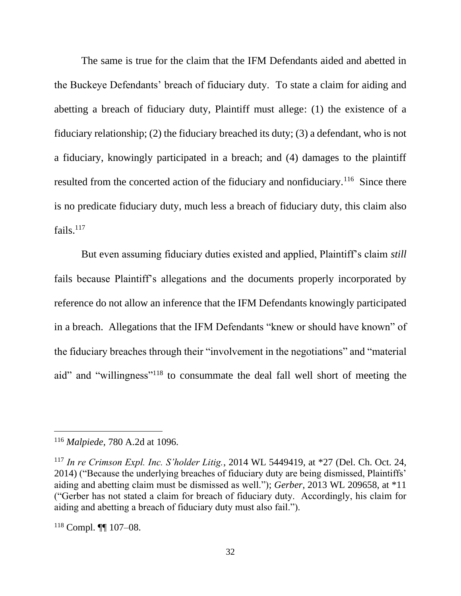The same is true for the claim that the IFM Defendants aided and abetted in the Buckeye Defendants' breach of fiduciary duty. To state a claim for aiding and abetting a breach of fiduciary duty, Plaintiff must allege: (1) the existence of a fiduciary relationship; (2) the fiduciary breached its duty; (3) a defendant, who is not a fiduciary, knowingly participated in a breach; and (4) damages to the plaintiff resulted from the concerted action of the fiduciary and nonfiduciary.<sup>116</sup> Since there is no predicate fiduciary duty, much less a breach of fiduciary duty, this claim also fails. $117$ 

But even assuming fiduciary duties existed and applied, Plaintiff's claim *still*  fails because Plaintiff's allegations and the documents properly incorporated by reference do not allow an inference that the IFM Defendants knowingly participated in a breach. Allegations that the IFM Defendants "knew or should have known" of the fiduciary breaches through their "involvement in the negotiations" and "material aid" and "willingness"<sup>118</sup> to consummate the deal fall well short of meeting the

<sup>116</sup> *Malpiede*, 780 A.2d at 1096.

<sup>117</sup> *In re Crimson Expl. Inc. S'holder Litig.*, 2014 WL 5449419, at \*27 (Del. Ch. Oct. 24, 2014) ("Because the underlying breaches of fiduciary duty are being dismissed, Plaintiffs' aiding and abetting claim must be dismissed as well."); *Gerber*, 2013 WL 209658, at \*11 ("Gerber has not stated a claim for breach of fiduciary duty. Accordingly, his claim for aiding and abetting a breach of fiduciary duty must also fail.").

<sup>118</sup> Compl. ¶¶ 107–08.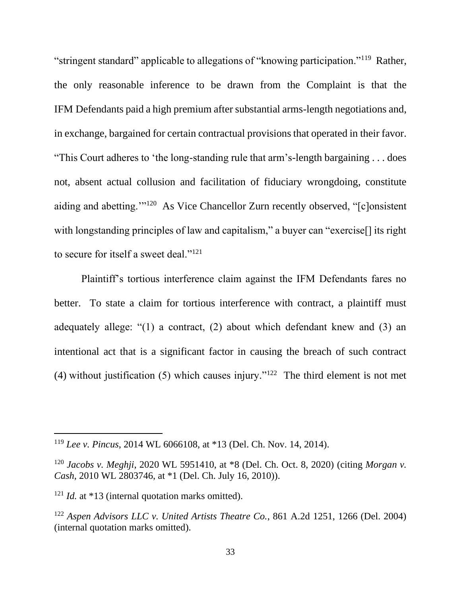"stringent standard" applicable to allegations of "knowing participation."<sup>119</sup> Rather, the only reasonable inference to be drawn from the Complaint is that the IFM Defendants paid a high premium after substantial arms-length negotiations and, in exchange, bargained for certain contractual provisions that operated in their favor. "This Court adheres to 'the long-standing rule that arm's-length bargaining . . . does not, absent actual collusion and facilitation of fiduciary wrongdoing, constitute aiding and abetting.'"<sup>120</sup> As Vice Chancellor Zurn recently observed, "[c]onsistent with longstanding principles of law and capitalism," a buyer can "exercise<sup>[]</sup> its right to secure for itself a sweet deal."<sup>121</sup>

Plaintiff's tortious interference claim against the IFM Defendants fares no better. To state a claim for tortious interference with contract, a plaintiff must adequately allege: "(1) a contract, (2) about which defendant knew and (3) an intentional act that is a significant factor in causing the breach of such contract (4) without justification (5) which causes injury."<sup>122</sup> The third element is not met

<sup>119</sup> *Lee v. Pincus*, 2014 WL 6066108, at \*13 (Del. Ch. Nov. 14, 2014).

<sup>120</sup> *Jacobs v. Meghji*, 2020 WL 5951410, at \*8 (Del. Ch. Oct. 8, 2020) (citing *Morgan v. Cash*, 2010 WL 2803746, at \*1 (Del. Ch. July 16, 2010)).

<sup>&</sup>lt;sup>121</sup> *Id.* at \*13 (internal quotation marks omitted).

<sup>122</sup> *Aspen Advisors LLC v. United Artists Theatre Co.*, 861 A.2d 1251, 1266 (Del. 2004) (internal quotation marks omitted).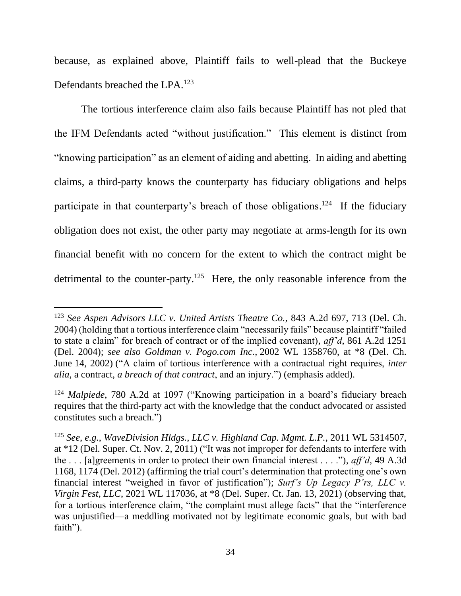because, as explained above, Plaintiff fails to well-plead that the Buckeye Defendants breached the LPA.<sup>123</sup>

The tortious interference claim also fails because Plaintiff has not pled that the IFM Defendants acted "without justification." This element is distinct from "knowing participation" as an element of aiding and abetting. In aiding and abetting claims, a third-party knows the counterparty has fiduciary obligations and helps participate in that counterparty's breach of those obligations.<sup>124</sup> If the fiduciary obligation does not exist, the other party may negotiate at arms-length for its own financial benefit with no concern for the extent to which the contract might be detrimental to the counter-party.<sup>125</sup> Here, the only reasonable inference from the

<sup>123</sup> *See Aspen Advisors LLC v. United Artists Theatre Co.*, 843 A.2d 697, 713 (Del. Ch. 2004) (holding that a tortious interference claim "necessarily fails" because plaintiff "failed to state a claim" for breach of contract or of the implied covenant), *aff'd*, 861 A.2d 1251 (Del. 2004); *see also Goldman v. Pogo.com Inc.*, 2002 WL 1358760, at \*8 (Del. Ch. June 14, 2002) ("A claim of tortious interference with a contractual right requires, *inter alia*, a contract, *a breach of that contract*, and an injury.") (emphasis added).

<sup>124</sup> *Malpiede*, 780 A.2d at 1097 ("Knowing participation in a board's fiduciary breach requires that the third-party act with the knowledge that the conduct advocated or assisted constitutes such a breach.")

<sup>125</sup> *See, e.g.*, *WaveDivision Hldgs., LLC v. Highland Cap. Mgmt. L.P.*, 2011 WL 5314507, at \*12 (Del. Super. Ct. Nov. 2, 2011) ("It was not improper for defendants to interfere with the . . . [a]greements in order to protect their own financial interest . . . ."), *aff'd*, 49 A.3d 1168, 1174 (Del. 2012) (affirming the trial court's determination that protecting one's own financial interest "weighed in favor of justification"); *Surf's Up Legacy P'rs, LLC v. Virgin Fest, LLC*, 2021 WL 117036, at \*8 (Del. Super. Ct. Jan. 13, 2021) (observing that, for a tortious interference claim, "the complaint must allege facts" that the "interference was unjustified—a meddling motivated not by legitimate economic goals, but with bad faith").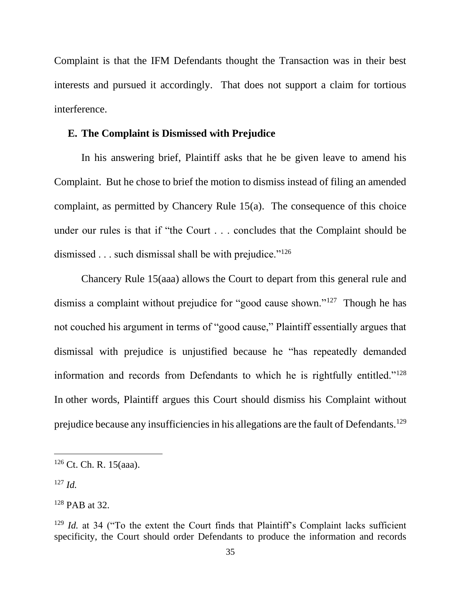Complaint is that the IFM Defendants thought the Transaction was in their best interests and pursued it accordingly. That does not support a claim for tortious interference.

### **E. The Complaint is Dismissed with Prejudice**

In his answering brief, Plaintiff asks that he be given leave to amend his Complaint. But he chose to brief the motion to dismiss instead of filing an amended complaint, as permitted by Chancery Rule 15(a). The consequence of this choice under our rules is that if "the Court . . . concludes that the Complaint should be dismissed  $\ldots$  such dismissal shall be with prejudice."<sup>126</sup>

Chancery Rule 15(aaa) allows the Court to depart from this general rule and dismiss a complaint without prejudice for "good cause shown."<sup>127</sup> Though he has not couched his argument in terms of "good cause," Plaintiff essentially argues that dismissal with prejudice is unjustified because he "has repeatedly demanded information and records from Defendants to which he is rightfully entitled."<sup>128</sup> In other words, Plaintiff argues this Court should dismiss his Complaint without prejudice because any insufficiencies in his allegations are the fault of Defendants.<sup>129</sup>

 $126$  Ct. Ch. R. 15(aaa).

<sup>127</sup> *Id.*

<sup>128</sup> PAB at 32.

<sup>&</sup>lt;sup>129</sup> *Id.* at 34 ("To the extent the Court finds that Plaintiff's Complaint lacks sufficient specificity, the Court should order Defendants to produce the information and records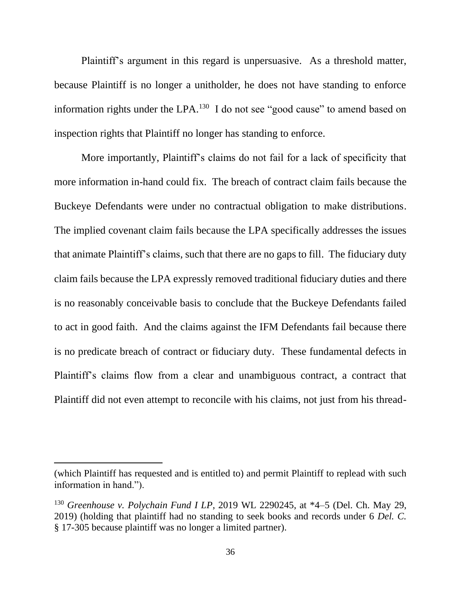Plaintiff's argument in this regard is unpersuasive. As a threshold matter, because Plaintiff is no longer a unitholder, he does not have standing to enforce information rights under the LPA. $^{130}$  I do not see "good cause" to amend based on inspection rights that Plaintiff no longer has standing to enforce.

More importantly, Plaintiff's claims do not fail for a lack of specificity that more information in-hand could fix. The breach of contract claim fails because the Buckeye Defendants were under no contractual obligation to make distributions. The implied covenant claim fails because the LPA specifically addresses the issues that animate Plaintiff's claims, such that there are no gaps to fill. The fiduciary duty claim fails because the LPA expressly removed traditional fiduciary duties and there is no reasonably conceivable basis to conclude that the Buckeye Defendants failed to act in good faith. And the claims against the IFM Defendants fail because there is no predicate breach of contract or fiduciary duty. These fundamental defects in Plaintiff's claims flow from a clear and unambiguous contract, a contract that Plaintiff did not even attempt to reconcile with his claims, not just from his thread-

<sup>(</sup>which Plaintiff has requested and is entitled to) and permit Plaintiff to replead with such information in hand.").

<sup>130</sup> *Greenhouse v. Polychain Fund I LP*, 2019 WL 2290245, at \*4–5 (Del. Ch. May 29, 2019) (holding that plaintiff had no standing to seek books and records under 6 *Del. C.*  § 17-305 because plaintiff was no longer a limited partner).